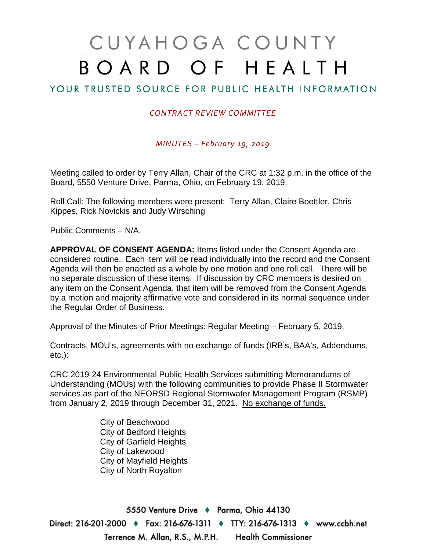# CUYAHOGA COUNTY BOARD OF HEALTH

# YOUR TRUSTED SOURCE FOR PUBLIC HEALTH INFORMATION

### *CONTRACT REVIEW COMMITTEE*

*MINUTES – February 19, 2019*

Meeting called to order by Terry Allan, Chair of the CRC at 1:32 p.m. in the office of the Board, 5550 Venture Drive, Parma, Ohio, on February 19, 2019.

Roll Call: The following members were present: Terry Allan, Claire Boettler, Chris Kippes, Rick Novickis and Judy Wirsching

Public Comments – N/A.

**APPROVAL OF CONSENT AGENDA:** Items listed under the Consent Agenda are considered routine. Each item will be read individually into the record and the Consent Agenda will then be enacted as a whole by one motion and one roll call. There will be no separate discussion of these items. If discussion by CRC members is desired on any item on the Consent Agenda, that item will be removed from the Consent Agenda by a motion and majority affirmative vote and considered in its normal sequence under the Regular Order of Business.

Approval of the Minutes of Prior Meetings: Regular Meeting – February 5, 2019.

Contracts, MOU's, agreements with no exchange of funds (IRB's, BAA's, Addendums, etc.):

CRC 2019-24 Environmental Public Health Services submitting Memorandums of Understanding (MOUs) with the following communities to provide Phase II Stormwater services as part of the NEORSD Regional Stormwater Management Program (RSMP) from January 2, 2019 through December 31, 2021. No exchange of funds.

> City of Beachwood City of Bedford Heights City of Garfield Heights City of Lakewood City of Mayfield Heights City of North Royalton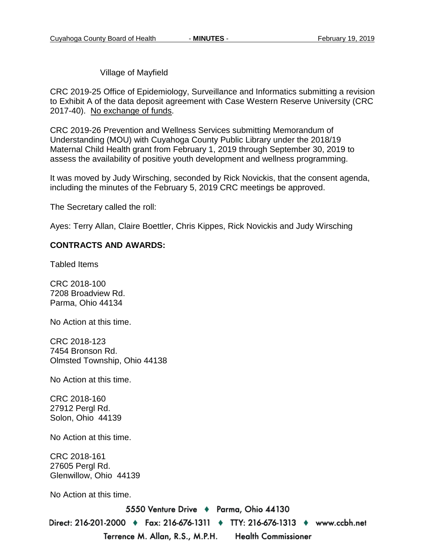#### Village of Mayfield

CRC 2019-25 Office of Epidemiology, Surveillance and Informatics submitting a revision to Exhibit A of the data deposit agreement with Case Western Reserve University (CRC 2017-40). No exchange of funds.

CRC 2019-26 Prevention and Wellness Services submitting Memorandum of Understanding (MOU) with Cuyahoga County Public Library under the 2018/19 Maternal Child Health grant from February 1, 2019 through September 30, 2019 to assess the availability of positive youth development and wellness programming.

It was moved by Judy Wirsching, seconded by Rick Novickis, that the consent agenda, including the minutes of the February 5, 2019 CRC meetings be approved.

The Secretary called the roll:

Ayes: Terry Allan, Claire Boettler, Chris Kippes, Rick Novickis and Judy Wirsching

#### **CONTRACTS AND AWARDS:**

Tabled Items

CRC 2018-100 7208 Broadview Rd. Parma, Ohio 44134

No Action at this time.

CRC 2018-123 7454 Bronson Rd. Olmsted Township, Ohio 44138

No Action at this time.

CRC 2018-160 27912 Pergl Rd. Solon, Ohio 44139

No Action at this time.

CRC 2018-161 27605 Pergl Rd. Glenwillow, Ohio 44139

No Action at this time.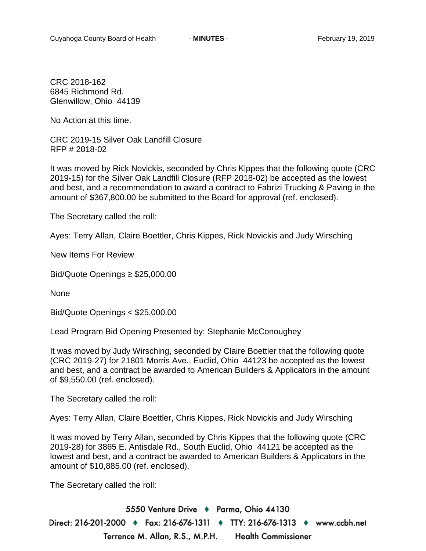CRC 2018-162 6845 Richmond Rd. Glenwillow, Ohio 44139

No Action at this time.

CRC 2019-15 Silver Oak Landfill Closure RFP # 2018-02

It was moved by Rick Novickis, seconded by Chris Kippes that the following quote (CRC 2019-15) for the Silver Oak Landfill Closure (RFP 2018-02) be accepted as the lowest and best, and a recommendation to award a contract to Fabrizi Trucking & Paving in the amount of \$367,800.00 be submitted to the Board for approval (ref. enclosed).

The Secretary called the roll:

Ayes: Terry Allan, Claire Boettler, Chris Kippes, Rick Novickis and Judy Wirsching

New Items For Review

Bid/Quote Openings ≥ \$25,000.00

None

Bid/Quote Openings < \$25,000.00

Lead Program Bid Opening Presented by: Stephanie McConoughey

It was moved by Judy Wirsching, seconded by Claire Boettler that the following quote (CRC 2019-27) for 21801 Morris Ave., Euclid, Ohio 44123 be accepted as the lowest and best, and a contract be awarded to American Builders & Applicators in the amount of \$9,550.00 (ref. enclosed).

The Secretary called the roll:

Ayes: Terry Allan, Claire Boettler, Chris Kippes, Rick Novickis and Judy Wirsching

It was moved by Terry Allan, seconded by Chris Kippes that the following quote (CRC 2019-28) for 3865 E. Antisdale Rd., South Euclid, Ohio 44121 be accepted as the lowest and best, and a contract be awarded to American Builders & Applicators in the amount of \$10,885.00 (ref. enclosed).

The Secretary called the roll: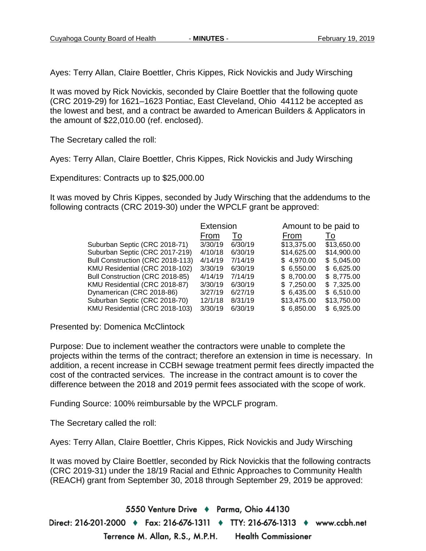Ayes: Terry Allan, Claire Boettler, Chris Kippes, Rick Novickis and Judy Wirsching

It was moved by Rick Novickis, seconded by Claire Boettler that the following quote (CRC 2019-29) for 1621–1623 Pontiac, East Cleveland, Ohio 44112 be accepted as the lowest and best, and a contract be awarded to American Builders & Applicators in the amount of \$22,010.00 (ref. enclosed).

The Secretary called the roll:

Ayes: Terry Allan, Claire Boettler, Chris Kippes, Rick Novickis and Judy Wirsching

Expenditures: Contracts up to \$25,000.00

It was moved by Chris Kippes, seconded by Judy Wirsching that the addendums to the following contracts (CRC 2019-30) under the WPCLF grant be approved:

|                                  | Extension |         | Amount to be paid to |             |
|----------------------------------|-----------|---------|----------------------|-------------|
|                                  | From      | To      | From                 | To          |
| Suburban Septic (CRC 2018-71)    | 3/30/19   | 6/30/19 | \$13,375.00          | \$13,650.00 |
| Suburban Septic (CRC 2017-219)   | 4/10/18   | 6/30/19 | \$14,625.00          | \$14,900.00 |
| Bull Construction (CRC 2018-113) | 4/14/19   | 7/14/19 | \$4,970.00           | \$5,045.00  |
| KMU Residential (CRC 2018-102)   | 3/30/19   | 6/30/19 | \$6,550.00           | \$6,625.00  |
| Bull Construction (CRC 2018-85)  | 4/14/19   | 7/14/19 | \$8,700.00           | \$8,775.00  |
| KMU Residential (CRC 2018-87)    | 3/30/19   | 6/30/19 | \$7,250.00           | \$7,325.00  |
| Dynamerican (CRC 2018-86)        | 3/27/19   | 6/27/19 | \$6,435.00           | \$6,510.00  |
| Suburban Septic (CRC 2018-70)    | 12/1/18   | 8/31/19 | \$13,475.00          | \$13,750.00 |
| KMU Residential (CRC 2018-103)   | 3/30/19   | 6/30/19 | \$6,850.00           | \$6,925.00  |

Presented by: Domenica McClintock

Purpose: Due to inclement weather the contractors were unable to complete the projects within the terms of the contract; therefore an extension in time is necessary. In addition, a recent increase in CCBH sewage treatment permit fees directly impacted the cost of the contracted services. The increase in the contract amount is to cover the difference between the 2018 and 2019 permit fees associated with the scope of work.

Funding Source: 100% reimbursable by the WPCLF program.

The Secretary called the roll:

Ayes: Terry Allan, Claire Boettler, Chris Kippes, Rick Novickis and Judy Wirsching

It was moved by Claire Boettler, seconded by Rick Novickis that the following contracts (CRC 2019-31) under the 18/19 Racial and Ethnic Approaches to Community Health (REACH) grant from September 30, 2018 through September 29, 2019 be approved: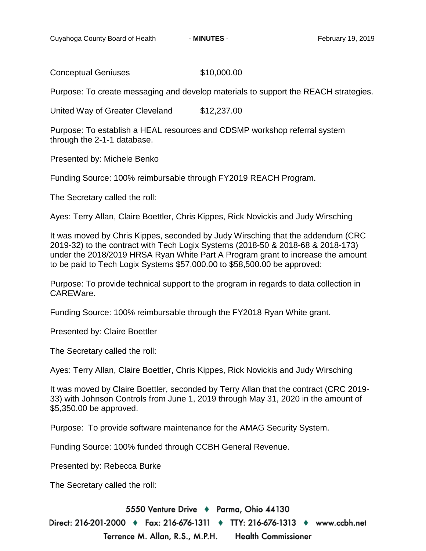Conceptual Geniuses \$10,000.00

Purpose: To create messaging and develop materials to support the REACH strategies.

United Way of Greater Cleveland \$12,237.00

Purpose: To establish a HEAL resources and CDSMP workshop referral system through the 2-1-1 database.

Presented by: Michele Benko

Funding Source: 100% reimbursable through FY2019 REACH Program.

The Secretary called the roll:

Ayes: Terry Allan, Claire Boettler, Chris Kippes, Rick Novickis and Judy Wirsching

It was moved by Chris Kippes, seconded by Judy Wirsching that the addendum (CRC 2019-32) to the contract with Tech Logix Systems (2018-50 & 2018-68 & 2018-173) under the 2018/2019 HRSA Ryan White Part A Program grant to increase the amount to be paid to Tech Logix Systems \$57,000.00 to \$58,500.00 be approved:

Purpose: To provide technical support to the program in regards to data collection in CAREWare.

Funding Source: 100% reimbursable through the FY2018 Ryan White grant.

Presented by: Claire Boettler

The Secretary called the roll:

Ayes: Terry Allan, Claire Boettler, Chris Kippes, Rick Novickis and Judy Wirsching

It was moved by Claire Boettler, seconded by Terry Allan that the contract (CRC 2019- 33) with Johnson Controls from June 1, 2019 through May 31, 2020 in the amount of \$5,350.00 be approved.

Purpose: To provide software maintenance for the AMAG Security System.

Funding Source: 100% funded through CCBH General Revenue.

Presented by: Rebecca Burke

The Secretary called the roll:

5550 Venture Drive + Parma, Ohio 44130

Direct: 216-201-2000 ♦ Fax: 216-676-1311 ♦ TTY: 216-676-1313 ♦ www.ccbh.net Terrence M. Allan, R.S., M.P.H. **Health Commissioner**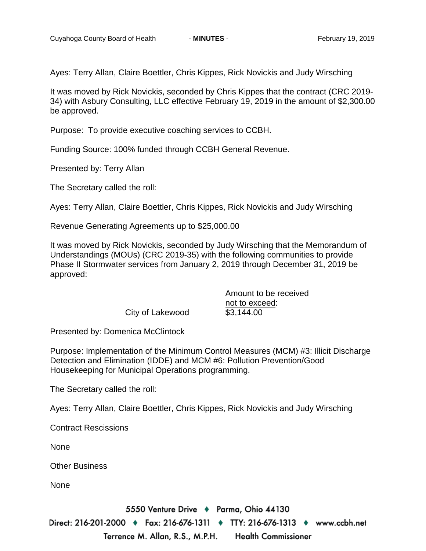Ayes: Terry Allan, Claire Boettler, Chris Kippes, Rick Novickis and Judy Wirsching

It was moved by Rick Novickis, seconded by Chris Kippes that the contract (CRC 2019- 34) with Asbury Consulting, LLC effective February 19, 2019 in the amount of \$2,300.00 be approved.

Purpose: To provide executive coaching services to CCBH.

Funding Source: 100% funded through CCBH General Revenue.

Presented by: Terry Allan

The Secretary called the roll:

Ayes: Terry Allan, Claire Boettler, Chris Kippes, Rick Novickis and Judy Wirsching

Revenue Generating Agreements up to \$25,000.00

It was moved by Rick Novickis, seconded by Judy Wirsching that the Memorandum of Understandings (MOUs) (CRC 2019-35) with the following communities to provide Phase II Stormwater services from January 2, 2019 through December 31, 2019 be approved:

City of Lakewood \$3,144.00

Amount to be received not to exceed:

Presented by: Domenica McClintock

Purpose: Implementation of the Minimum Control Measures (MCM) #3: Illicit Discharge Detection and Elimination (IDDE) and MCM #6: Pollution Prevention/Good Housekeeping for Municipal Operations programming.

The Secretary called the roll:

Ayes: Terry Allan, Claire Boettler, Chris Kippes, Rick Novickis and Judy Wirsching

Contract Rescissions

None

Other Business

None

5550 Venture Drive + Parma, Ohio 44130

Direct: 216-201-2000 ♦ Fax: 216-676-1311 ♦ TTY: 216-676-1313 ♦ www.ccbh.net Terrence M. Allan, R.S., M.P.H. **Health Commissioner**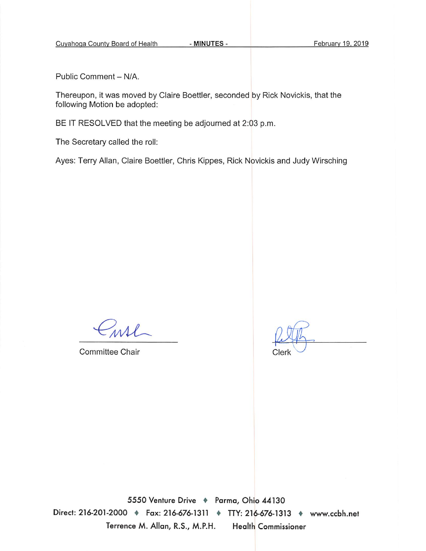Public Comment - N/A.

Thereupon, it was moved by Claire Boettler, seconded by Rick Novickis, that the following Motion be adopted:

BE IT RESOLVED that the meeting be adjourned at 2:03 p.m.

The Secretary called the roll:

Ayes: Terry Allan, Claire Boettler, Chris Kippes, Rick Novickis and Judy Wirsching

msl

Committee Chair

Clerk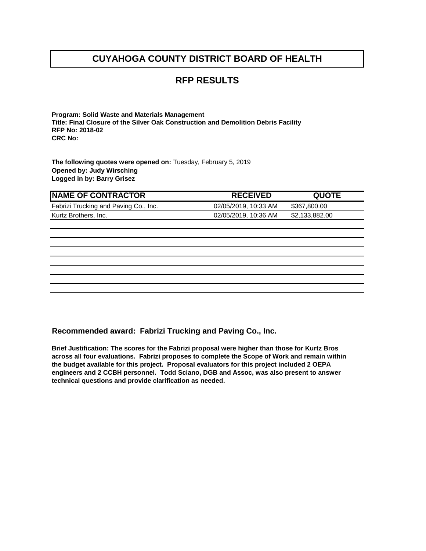## **RFP RESULTS**

**Program: Solid Waste and Materials Management Title: Final Closure of the Silver Oak Construction and Demolition Debris Facility RFP No: 2018-02 CRC No:** 

**The following quotes were opened on:** Tuesday, February 5, 2019 **Opened by: Judy Wirsching Logged in by: Barry Grisez**

| <b>NAME OF CONTRACTOR</b>             | <b>RECEIVED</b>      | <b>QUOTE</b>   |
|---------------------------------------|----------------------|----------------|
| Fabrizi Trucking and Paving Co., Inc. | 02/05/2019, 10:33 AM | \$367,800.00   |
| Kurtz Brothers, Inc.                  | 02/05/2019, 10:36 AM | \$2,133,882.00 |
|                                       |                      |                |
|                                       |                      |                |
|                                       |                      |                |
|                                       |                      |                |
|                                       |                      |                |
|                                       |                      |                |
|                                       |                      |                |
|                                       |                      |                |
|                                       |                      |                |

**Recommended award: Fabrizi Trucking and Paving Co., Inc.**

**Brief Justification: The scores for the Fabrizi proposal were higher than those for Kurtz Bros across all four evaluations. Fabrizi proposes to complete the Scope of Work and remain within the budget available for this project. Proposal evaluators for this project included 2 OEPA engineers and 2 CCBH personnel. Todd Sciano, DGB and Assoc, was also present to answer technical questions and provide clarification as needed.**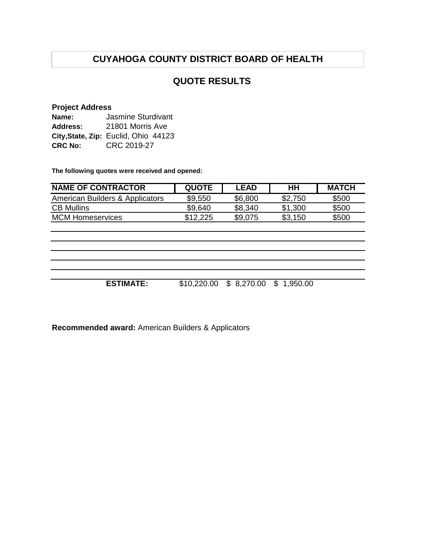## **QUOTE RESULTS**

#### **Project Address**

| Name:          | <b>Jasmine Sturdivant</b>            |
|----------------|--------------------------------------|
| Address:       | 21801 Morris Ave                     |
|                | City, State, Zip: Euclid, Ohio 44123 |
| <b>CRC No:</b> | CRC 2019-27                          |

**The following quotes were received and opened:**

| <b>NAME OF CONTRACTOR</b>       | <b>QUOTE</b> | LEAD    | HН      | <b>MATCH</b> |
|---------------------------------|--------------|---------|---------|--------------|
| American Builders & Applicators | \$9.550      | \$6,800 | \$2.750 | \$500        |
| <b>CB Mullins</b>               | \$9.640      | \$8,340 | \$1,300 | \$500        |
| <b>MCM Homeservices</b>         | \$12,225     | \$9,075 | \$3.150 | \$500        |
|                                 |              |         |         |              |

| <b>ESTIMATE:</b> | $$10,220.00 \$8,270.00 \$1,950.00$ |  |
|------------------|------------------------------------|--|
|                  |                                    |  |

**Recommended award:** American Builders & Applicators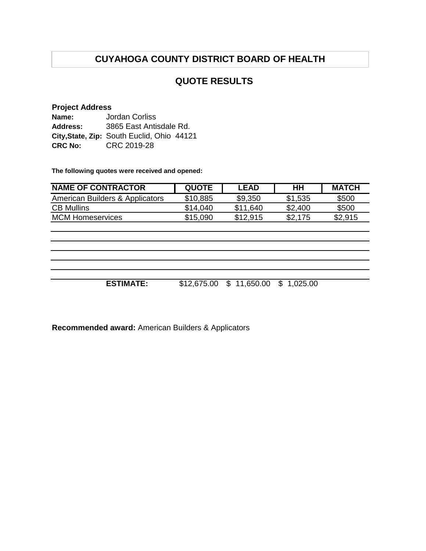## **QUOTE RESULTS**

#### **Project Address**

| Name:          | <b>Jordan Corliss</b>                      |
|----------------|--------------------------------------------|
| Address:       | 3865 East Antisdale Rd.                    |
|                | City, State, Zip: South Euclid, Ohio 44121 |
| <b>CRC No:</b> | CRC 2019-28                                |

**The following quotes were received and opened:**

| <b>NAME OF CONTRACTOR</b>       | <b>QUOTE</b> | <b>LEAD</b> | HН      | <b>MATCH</b> |
|---------------------------------|--------------|-------------|---------|--------------|
| American Builders & Applicators | \$10,885     | \$9,350     | \$1,535 | \$500        |
| <b>CB Mullins</b>               | \$14.040     | \$11.640    | \$2,400 | \$500        |
| <b>MCM Homeservices</b>         | \$15,090     | \$12.915    | \$2.175 | \$2,915      |

| <b>ESTIMATE:</b> | \$12,675.00 \$ 11,650.00 \$ 1,025.00 |  |
|------------------|--------------------------------------|--|

**Recommended award:** American Builders & Applicators